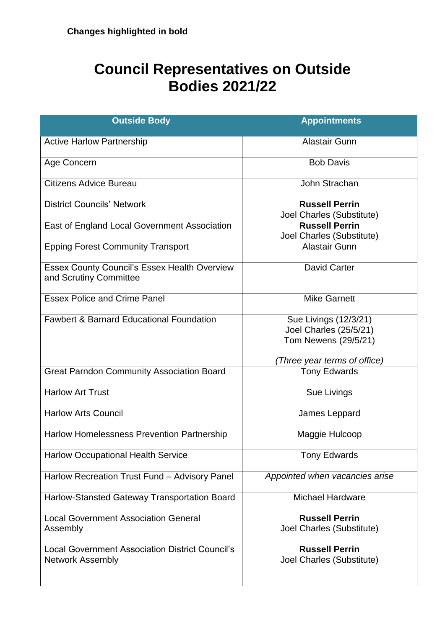## **Council Representatives on Outside Bodies 2021/22**

| <b>Outside Body</b>                                                               | <b>Appointments</b>                                                     |
|-----------------------------------------------------------------------------------|-------------------------------------------------------------------------|
| <b>Active Harlow Partnership</b>                                                  | <b>Alastair Gunn</b>                                                    |
| Age Concern                                                                       | <b>Bob Davis</b>                                                        |
| <b>Citizens Advice Bureau</b>                                                     | John Strachan                                                           |
| <b>District Councils' Network</b>                                                 | <b>Russell Perrin</b><br>Joel Charles (Substitute)                      |
| East of England Local Government Association                                      | <b>Russell Perrin</b><br>Joel Charles (Substitute)                      |
| <b>Epping Forest Community Transport</b>                                          | <b>Alastair Gunn</b>                                                    |
| <b>Essex County Council's Essex Health Overview</b><br>and Scrutiny Committee     | <b>David Carter</b>                                                     |
| <b>Essex Police and Crime Panel</b>                                               | <b>Mike Garnett</b>                                                     |
| <b>Fawbert &amp; Barnard Educational Foundation</b>                               | Sue Livings (12/3/21)<br>Joel Charles (25/5/21)<br>Tom Newens (29/5/21) |
|                                                                                   | Three year terms of office)                                             |
| <b>Great Parndon Community Association Board</b>                                  | <b>Tony Edwards</b>                                                     |
| <b>Harlow Art Trust</b>                                                           | Sue Livings                                                             |
| <b>Harlow Arts Council</b>                                                        | James Leppard                                                           |
| <b>Harlow Homelessness Prevention Partnership</b>                                 | Maggie Hulcoop                                                          |
| <b>Harlow Occupational Health Service</b>                                         | <b>Tony Edwards</b>                                                     |
| Harlow Recreation Trust Fund - Advisory Panel                                     | Appointed when vacancies arise                                          |
| Harlow-Stansted Gateway Transportation Board                                      | <b>Michael Hardware</b>                                                 |
| <b>Local Government Association General</b><br>Assembly                           | <b>Russell Perrin</b><br>Joel Charles (Substitute)                      |
| <b>Local Government Association District Council's</b><br><b>Network Assembly</b> | <b>Russell Perrin</b><br>Joel Charles (Substitute)                      |